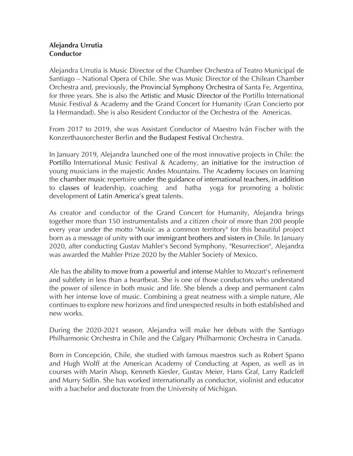## **Alejandra Urrutia Conductor**

Alejandra Urrutia is Music Director of the Chamber Orchestra of Teatro Municipal de Santiago – National Opera of Chile. She was Music Director of the Chilean Chamber Orchestra and, previously, the Provincial Symphony Orchestra of Santa Fe, Argentina, for three years. She is also the Artistic and Music Director of the Portillo International Music Festival & Academy and the Grand Concert for Humanity (Gran Concierto por la Hermandad). She is also Resident Conductor of the Orchestra of the Americas.

From 2017 to 2019, she was Assistant Conductor of Maestro Iván Fischer with the Konzerthausorchester Berlin and the Budapest Festival Orchestra.

In January 2019, Alejandra launched one of the most innovative projects in Chile: the Portillo International Music Festival & Academy, an initiative for the instruction of young musicians in the majestic Andes Mountains. The Academy focuses on learning the chamber music repertoire under the guidance of international teachers, in addition to classes of leadership, coaching and hatha yoga for promoting a holistic development of Latin America's great talents.

As creator and conductor of the Grand Concert for Humanity, Alejandra brings together more than 150 instrumentalists and a citizen choir of more than 200 people every year under the motto "Music as a common territory" for this beautiful project born as a message of unity with our immigrant brothers and sisters in Chile. In January 2020, after conducting Gustav Mahler's Second Symphony, "Resurrection", Alejandra was awarded the Mahler Prize 2020 by the Mahler Society of Mexico.

Ale has the ability to move from a powerful and intense Mahler to Mozart's refinement and subtlety in less than a heartbeat. She is one of those conductors who understand the power of silence in both music and life. She blends a deep and permanent calm with her intense love of music. Combining a great neatness with a simple nature, Ale continues to explore new horizons and find unexpected results in both established and new works.

During the 2020-2021 season, Alejandra will make her debuts with the Santiago Philharmonic Orchestra in Chile and the Calgary Philharmonic Orchestra in Canada.

Born in Concepción, Chile, she studied with famous maestros such as Robert Spano and Hugh Wolff at the American Academy of Conducting at Aspen, as well as in courses with Marin Alsop, Kenneth Kiesler, Gustav Meier, Hans Graf, Larry Radcleff and Murry Sidlin. She has worked internationally as conductor, violinist and educator with a bachelor and doctorate from the University of Michigan.